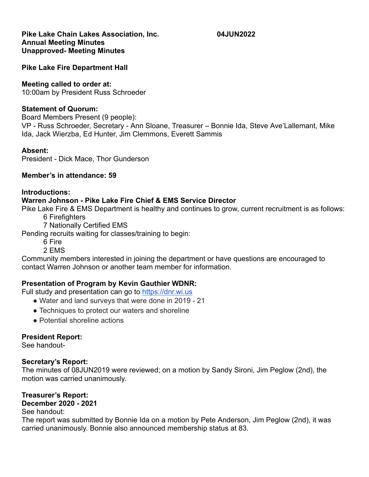#### **Pike Lake Chain Lakes Association, Inc. 04JUN2022 Annual Meeting Minutes Unapproved- Meeting Minutes**

**Pike Lake Fire Department Hall**

### **Meeting called to order at:**

10:00am by President Russ Schroeder

### **Statement of Quorum:**

Board Members Present (9 people):

VP - Russ Schroeder, Secretary - Ann Sloane, Treasurer – Bonnie Ida, Steve Ave'Lallemant, Mike Ida, Jack Wierzba, Ed Hunter, Jim Clemmons, Everett Sammis

### **Absent:**

President - Dick Mace, Thor Gunderson

## **Member's in attendance: 59**

### **Introductions:**

## **Warren Johnson - Pike Lake Fire Chief & EMS Service Director**

Pike Lake Fire & EMS Department is healthy and continues to grow, current recruitment is as follows:

- 6 Firefighters
- 7 Nationally Certified EMS

Pending recruits waiting for classes/training to begin:

- 6 Fire
- 2 EMS

Community members interested in joining the department or have questions are encouraged to contact Warren Johnson or another team member for information.

## **Presentation of Program by Kevin Gauthier WDNR:**

Full study and presentation can go to [https://dnr.wi.us](https://dnr.wi.us/)

- Water and land surveys that were done in 2019 21
- Techniques to protect our waters and shoreline
- Potential shoreline actions

## **President Report:**

See handout-

## **Secretary's Report:**

The minutes of 08JUN2019 were reviewed; on a motion by Sandy Sironi, Jim Peglow (2nd), the motion was carried unanimously.

# **Treasurer's Report:**

# **December 2020 - 2021**

See handout:

The report was submitted by Bonnie Ida on a motion by Pete Anderson, Jim Peglow (2nd), it was carried unanimously. Bonnie also announced membership status at 83.